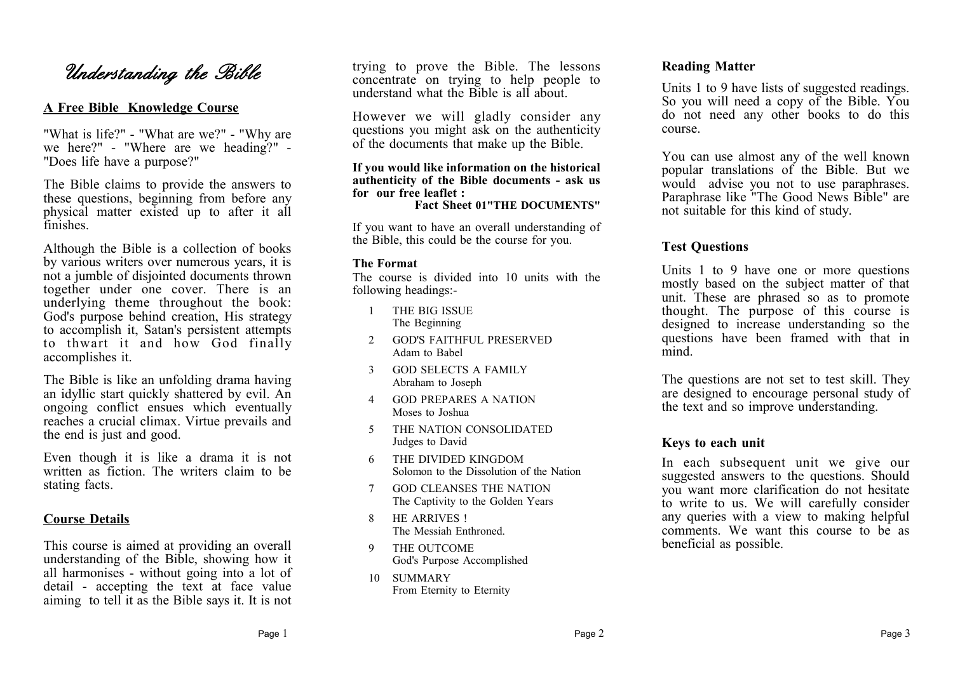# *Understanding the Bible*

# **A Free Bible Knowledge Course**

"What is life?" - "What are we?" - "Why are we here?" - "Where are we heading?" - "Does life have a purpose?"

The Bible claims to provide the answers to these questions, beginning from before any physical matter existed up to after it all finishes.

Although the Bible is a collection of books by various writers over numerous years, it is not a jumble of disjointed documents thrown together under one cover. There is an underlying theme throughout the book: God's purpose behind creation, His strategy to accomplish it, Satan's persistent attempts to thwart it and how God finally accomplishes it.

The Bible is like an unfolding drama having an idyllic start quickly shattered by evil. An ongoing conflict ensues which eventually reaches a crucial climax. Virtue prevails and the end is just and good.

Even though it is like a drama it is not written as fiction. The writers claim to be stating facts.

### **Course Details**

This course is aimed at providing an overall understanding of the Bible, showing how it all harmonises - without going into a lot of detail - accepting the text at face value aiming to tell it as the Bible says it. It is not trying to prove the Bible. The lessons concentrate on trying to help people to understand what the Bible is all about.

However we will gladly consider any questions you might ask on the authenticity of the documents that make up the Bible.

#### **If you would like information on the historical authenticity of the Bible documents - ask us for our free leaflet :**

**Fact Sheet 01"THE DOCUMENTS"**

If you want to have an overall understanding of the Bible, this could be the course for you.

### **The Format**

The course is divided into 10 units with the following headings:-

- 1 THE BIG ISSUE The Beginning
- 2 GOD'S FAITHFUL PRESERVED Adam to Babel
- 3 GOD SELECTS A FAMILY Abraham to Joseph
- 4 GOD PREPARES A NATION Moses to Joshua
- 5 THE NATION CONSOLIDATED Judges to David
- 6 THE DIVIDED KINGDOM Solomon to the Dissolution of the Nation
- 7 GOD CLEANSES THE NATION The Captivity to the Golden Years
- 8 HE ARRIVES ! The Messiah Enthroned.
- 9 THE OUTCOME God's Purpose Accomplished
- 10 SUMMARY From Eternity to Eternity

### **Reading Matter**

Units 1 to 9 have lists of suggested readings. So you will need a copy of the Bible. You do not need any other books to do this course.

You can use almost any of the well known popular translations of the Bible. But we would advise you not to use paraphrases. Paraphrase like "The Good News Bible" are not suitable for this kind of study.

## **Test Questions**

Units 1 to 9 have one or more questions mostly based on the subject matter of that unit. These are phrased so as to promote thought. The purpose of this course is designed to increase understanding so the questions have been framed with that in mind.

The questions are not set to test skill. They are designed to encourage personal study of the text and so improve understanding.

### **Keys to each unit**

In each subsequent unit we give our suggested answers to the questions. Should you want more clarification do not hesitate to write to us. We will carefully consider any queries with a view to making helpful comments. We want this course to be as beneficial as possible.